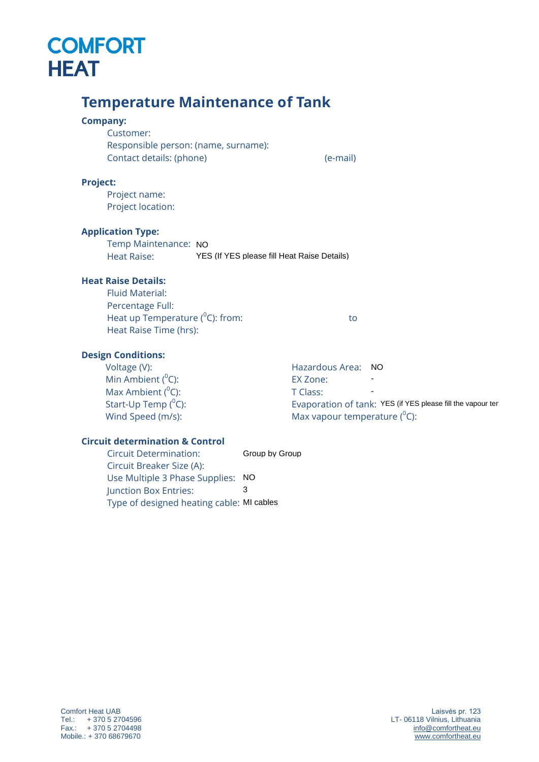# **COMFORT HEAT**

# **Temperature Maintenance of Tank Company:** Customer: Responsible person: (name, surname): Contact details: (phone) (e-mail) **Project:** Project name: Project location: **Application Type:** Temp Maintenance: NO Heat Raise: **Heat Raise Details:** Fluid Material: Percentage Full: Heat up Temperature ( 0 C): from: to YES (If YES please fill Heat Raise Details)

#### **Design Conditions:**

Voltage (V): Min Ambient  $(^0C)$ : Max Ambient  $(^0C)$ : Start-Up Temp (<sup>0</sup>C): Wind Speed (m/s):

Heat Raise Time (hrs):

Hazardous Area: NO- EX Zone: T Class: Evaporation of tank: YES (if YES please fill the vapour ter Max vapour temperature  $(^0C)$ : -

### **Circuit determination & Control**

Circuit Determination: Circuit Breaker Size (A): Use Multiple 3 Phase Supplies: NO<br>Iunction Box Entries: 3 Junction Box Entries: Type of designed heating cable: MI cablesGroup by Group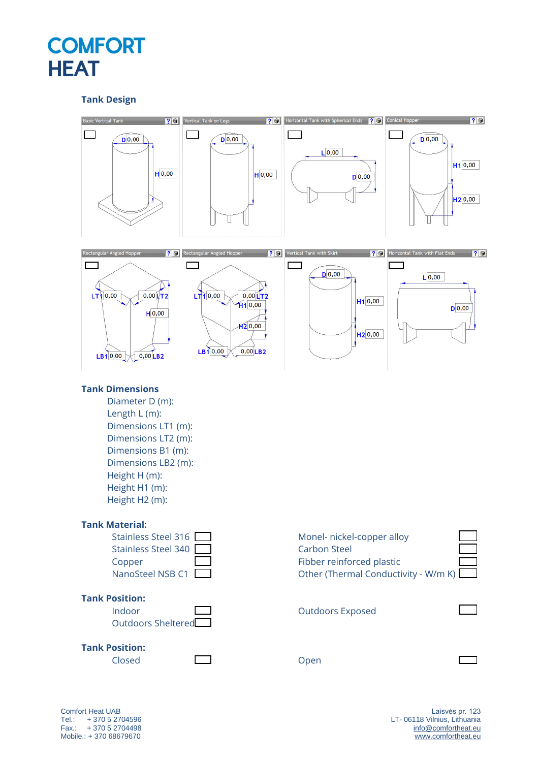# **COMFORT HEAT**

### **Tank Design**



Comfort Heat UAB Tel.: + 370 5 2704596 Fax.: + 370 5 2704498 Mobile.: + 370 68679670